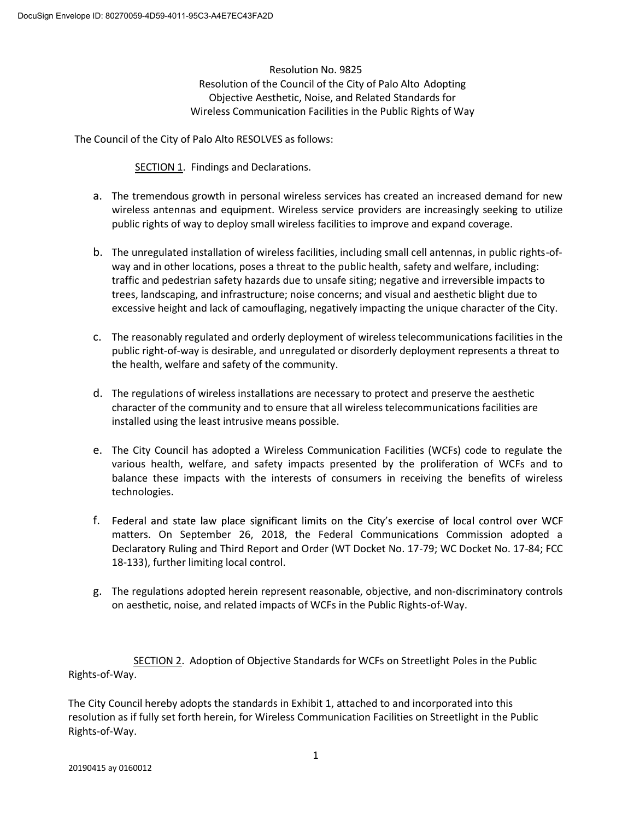Resolution No. 9825 Resolution of the Council of the City of Palo Alto Adopting Objective Aesthetic, Noise, and Related Standards for Wireless Communication Facilities in the Public Rights of Way

The Council of the City of Palo Alto RESOLVES as follows:

SECTION 1. Findings and Declarations.

- a. The tremendous growth in personal wireless services has created an increased demand for new wireless antennas and equipment. Wireless service providers are increasingly seeking to utilize public rights of way to deploy small wireless facilities to improve and expand coverage.
- b. The unregulated installation of wireless facilities, including small cell antennas, in public rights-ofway and in other locations, poses a threat to the public health, safety and welfare, including: traffic and pedestrian safety hazards due to unsafe siting; negative and irreversible impacts to trees, landscaping, and infrastructure; noise concerns; and visual and aesthetic blight due to excessive height and lack of camouflaging, negatively impacting the unique character of the City.
- c. The reasonably regulated and orderly deployment of wireless telecommunications facilities in the public right-of-way is desirable, and unregulated or disorderly deployment represents a threat to the health, welfare and safety of the community.
- d. The regulations of wireless installations are necessary to protect and preserve the aesthetic character of the community and to ensure that all wireless telecommunications facilities are installed using the least intrusive means possible.
- e. The City Council has adopted a Wireless Communication Facilities (WCFs) code to regulate the various health, welfare, and safety impacts presented by the proliferation of WCFs and to balance these impacts with the interests of consumers in receiving the benefits of wireless technologies.
- f. Federal and state law place significant limits on the City's exercise of local control over WCF matters. On September 26, 2018, the Federal Communications Commission adopted a Declaratory Ruling and Third Report and Order (WT Docket No. 17-79; WC Docket No. 17-84; FCC 18-133), further limiting local control.
- g. The regulations adopted herein represent reasonable, objective, and non-discriminatory controls on aesthetic, noise, and related impacts of WCFs in the Public Rights-of-Way.

 SECTION 2. Adoption of Objective Standards for WCFs on Streetlight Poles in the Public Rights-of-Way.

The City Council hereby adopts the standards in Exhibit 1, attached to and incorporated into this resolution as if fully set forth herein, for Wireless Communication Facilities on Streetlight in the Public Rights-of-Way.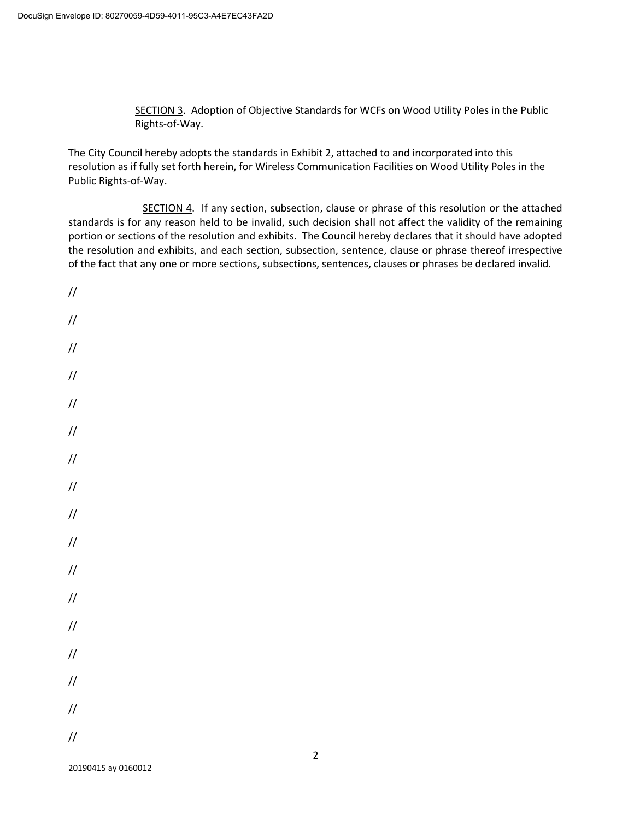SECTION 3. Adoption of Objective Standards for WCFs on Wood Utility Poles in the Public Rights-of-Way.

The City Council hereby adopts the standards in Exhibit 2, attached to and incorporated into this resolution as if fully set forth herein, for Wireless Communication Facilities on Wood Utility Poles in the Public Rights-of-Way.

 SECTION 4. If any section, subsection, clause or phrase of this resolution or the attached standards is for any reason held to be invalid, such decision shall not affect the validity of the remaining portion or sections of the resolution and exhibits. The Council hereby declares that it should have adopted the resolution and exhibits, and each section, subsection, sentence, clause or phrase thereof irrespective of the fact that any one or more sections, subsections, sentences, clauses or phrases be declared invalid.

// // // // // // // // // // // // // // // // //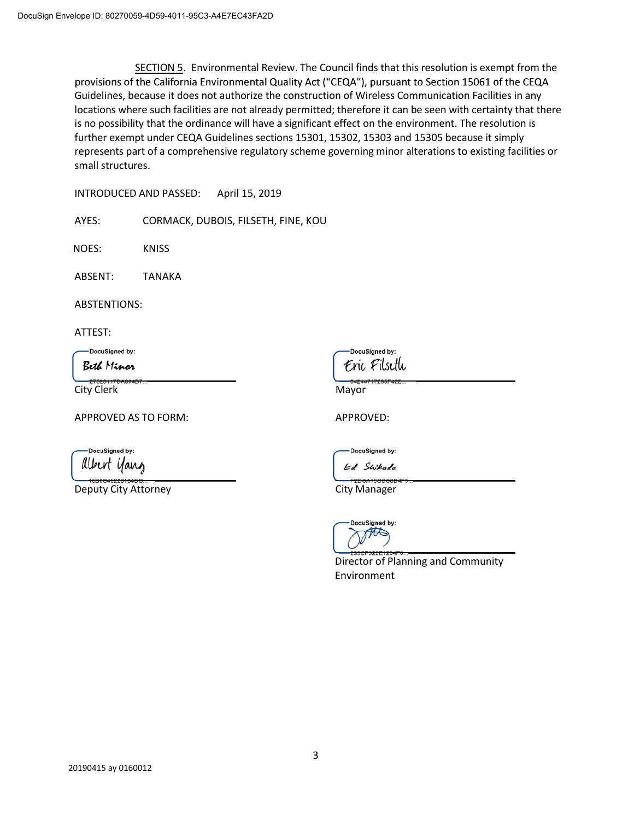SECTION 5. Environmental Review. The Council finds that this resolution is exempt from the provisions of the California Environmental Quality Act ("CEQA"), pursuant to Section 15061 of the CEQA Guidelines, because it does not authorize the construction of Wireless Communication Facilities in any locations where such facilities are not already permitted; therefore it can be seen with certainty that there is no possibility that the ordinance will have a significant effect on the environment. The resolution is further exempt under CEQA Guidelines sections 15301, 15302, 15303 and 15305 because it simply represents part of a comprehensive regulatory scheme governing minor alterations to existing facilities or small structures.

INTRODUCED AND PASSED: April 15, 2019

AYES: CORMACK, DUBOIS, FILSETH, FINE, KOU

NOES: KNISS

ABSENT: TANAKA

ABSTENTIONS:

ATTEST:

DocuSigned by:

Beth Minor

City Clerk Mayor

APPROVED AS TO FORM: APPROVED:

DocuSigned by: albert yang

Deputy City Attorney **City Manager** City Manager

DocuSianed by: Enc Filseth

DocuSigned by: Ed Swikada

0004400000



Director of Planning and Community Environment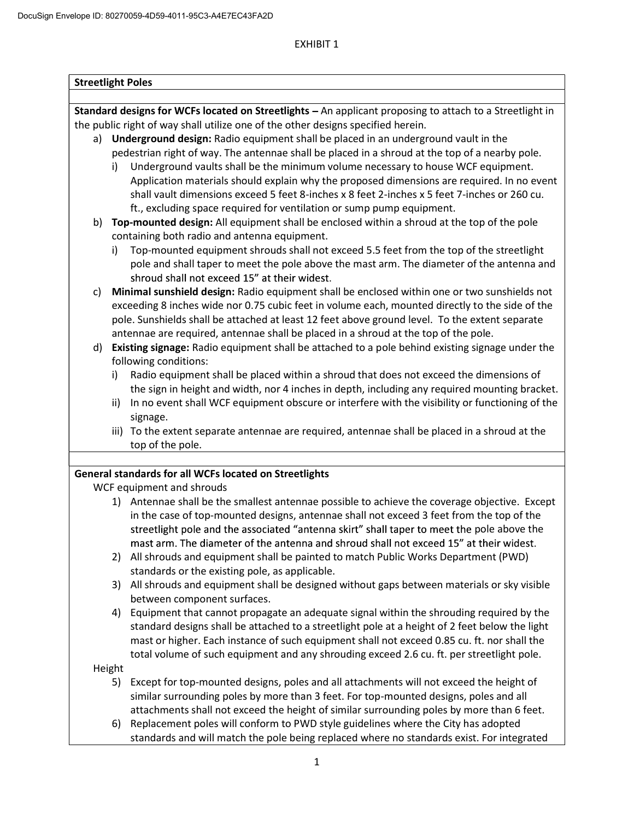# EXHIBIT 1

|    | Standard designs for WCFs located on Streetlights - An applicant proposing to attach to a Streetlight in                                                                                                                                                                                                                                                                                                                                                                           |  |  |  |  |  |
|----|------------------------------------------------------------------------------------------------------------------------------------------------------------------------------------------------------------------------------------------------------------------------------------------------------------------------------------------------------------------------------------------------------------------------------------------------------------------------------------|--|--|--|--|--|
|    | the public right of way shall utilize one of the other designs specified herein.                                                                                                                                                                                                                                                                                                                                                                                                   |  |  |  |  |  |
|    | a) Underground design: Radio equipment shall be placed in an underground vault in the                                                                                                                                                                                                                                                                                                                                                                                              |  |  |  |  |  |
|    | pedestrian right of way. The antennae shall be placed in a shroud at the top of a nearby pole.                                                                                                                                                                                                                                                                                                                                                                                     |  |  |  |  |  |
|    | Underground vaults shall be the minimum volume necessary to house WCF equipment.<br>i)                                                                                                                                                                                                                                                                                                                                                                                             |  |  |  |  |  |
|    | Application materials should explain why the proposed dimensions are required. In no event                                                                                                                                                                                                                                                                                                                                                                                         |  |  |  |  |  |
|    | shall vault dimensions exceed 5 feet 8-inches x 8 feet 2-inches x 5 feet 7-inches or 260 cu.                                                                                                                                                                                                                                                                                                                                                                                       |  |  |  |  |  |
|    |                                                                                                                                                                                                                                                                                                                                                                                                                                                                                    |  |  |  |  |  |
|    | ft., excluding space required for ventilation or sump pump equipment.                                                                                                                                                                                                                                                                                                                                                                                                              |  |  |  |  |  |
| b) | Top-mounted design: All equipment shall be enclosed within a shroud at the top of the pole<br>containing both radio and antenna equipment.                                                                                                                                                                                                                                                                                                                                         |  |  |  |  |  |
|    | Top-mounted equipment shrouds shall not exceed 5.5 feet from the top of the streetlight<br>i)                                                                                                                                                                                                                                                                                                                                                                                      |  |  |  |  |  |
|    | pole and shall taper to meet the pole above the mast arm. The diameter of the antenna and                                                                                                                                                                                                                                                                                                                                                                                          |  |  |  |  |  |
|    | shroud shall not exceed 15" at their widest.                                                                                                                                                                                                                                                                                                                                                                                                                                       |  |  |  |  |  |
| c) | Minimal sunshield design: Radio equipment shall be enclosed within one or two sunshields not                                                                                                                                                                                                                                                                                                                                                                                       |  |  |  |  |  |
|    | exceeding 8 inches wide nor 0.75 cubic feet in volume each, mounted directly to the side of the                                                                                                                                                                                                                                                                                                                                                                                    |  |  |  |  |  |
|    |                                                                                                                                                                                                                                                                                                                                                                                                                                                                                    |  |  |  |  |  |
|    | pole. Sunshields shall be attached at least 12 feet above ground level. To the extent separate                                                                                                                                                                                                                                                                                                                                                                                     |  |  |  |  |  |
|    | antennae are required, antennae shall be placed in a shroud at the top of the pole.                                                                                                                                                                                                                                                                                                                                                                                                |  |  |  |  |  |
| d) | Existing signage: Radio equipment shall be attached to a pole behind existing signage under the                                                                                                                                                                                                                                                                                                                                                                                    |  |  |  |  |  |
|    | following conditions:                                                                                                                                                                                                                                                                                                                                                                                                                                                              |  |  |  |  |  |
|    | Radio equipment shall be placed within a shroud that does not exceed the dimensions of<br>i)                                                                                                                                                                                                                                                                                                                                                                                       |  |  |  |  |  |
|    | the sign in height and width, nor 4 inches in depth, including any required mounting bracket.                                                                                                                                                                                                                                                                                                                                                                                      |  |  |  |  |  |
|    | In no event shall WCF equipment obscure or interfere with the visibility or functioning of the<br>ii)                                                                                                                                                                                                                                                                                                                                                                              |  |  |  |  |  |
|    | signage.                                                                                                                                                                                                                                                                                                                                                                                                                                                                           |  |  |  |  |  |
|    | iii) To the extent separate antennae are required, antennae shall be placed in a shroud at the                                                                                                                                                                                                                                                                                                                                                                                     |  |  |  |  |  |
|    | top of the pole.                                                                                                                                                                                                                                                                                                                                                                                                                                                                   |  |  |  |  |  |
|    |                                                                                                                                                                                                                                                                                                                                                                                                                                                                                    |  |  |  |  |  |
|    |                                                                                                                                                                                                                                                                                                                                                                                                                                                                                    |  |  |  |  |  |
|    | General standards for all WCFs located on Streetlights                                                                                                                                                                                                                                                                                                                                                                                                                             |  |  |  |  |  |
|    | WCF equipment and shrouds                                                                                                                                                                                                                                                                                                                                                                                                                                                          |  |  |  |  |  |
|    |                                                                                                                                                                                                                                                                                                                                                                                                                                                                                    |  |  |  |  |  |
|    | in the case of top-mounted designs, antennae shall not exceed 3 feet from the top of the                                                                                                                                                                                                                                                                                                                                                                                           |  |  |  |  |  |
|    | streetlight pole and the associated "antenna skirt" shall taper to meet the pole above the                                                                                                                                                                                                                                                                                                                                                                                         |  |  |  |  |  |
|    | mast arm. The diameter of the antenna and shroud shall not exceed 15" at their widest.                                                                                                                                                                                                                                                                                                                                                                                             |  |  |  |  |  |
|    | All shrouds and equipment shall be painted to match Public Works Department (PWD)<br>2)                                                                                                                                                                                                                                                                                                                                                                                            |  |  |  |  |  |
|    |                                                                                                                                                                                                                                                                                                                                                                                                                                                                                    |  |  |  |  |  |
|    | standards or the existing pole, as applicable.                                                                                                                                                                                                                                                                                                                                                                                                                                     |  |  |  |  |  |
|    | 3)                                                                                                                                                                                                                                                                                                                                                                                                                                                                                 |  |  |  |  |  |
|    | between component surfaces.                                                                                                                                                                                                                                                                                                                                                                                                                                                        |  |  |  |  |  |
|    | 4)                                                                                                                                                                                                                                                                                                                                                                                                                                                                                 |  |  |  |  |  |
|    |                                                                                                                                                                                                                                                                                                                                                                                                                                                                                    |  |  |  |  |  |
|    | mast or higher. Each instance of such equipment shall not exceed 0.85 cu. ft. nor shall the                                                                                                                                                                                                                                                                                                                                                                                        |  |  |  |  |  |
|    | total volume of such equipment and any shrouding exceed 2.6 cu. ft. per streetlight pole.                                                                                                                                                                                                                                                                                                                                                                                          |  |  |  |  |  |
|    | Height                                                                                                                                                                                                                                                                                                                                                                                                                                                                             |  |  |  |  |  |
|    | Except for top-mounted designs, poles and all attachments will not exceed the height of<br>5)                                                                                                                                                                                                                                                                                                                                                                                      |  |  |  |  |  |
|    | similar surrounding poles by more than 3 feet. For top-mounted designs, poles and all                                                                                                                                                                                                                                                                                                                                                                                              |  |  |  |  |  |
|    | attachments shall not exceed the height of similar surrounding poles by more than 6 feet.                                                                                                                                                                                                                                                                                                                                                                                          |  |  |  |  |  |
|    | 1) Antennae shall be the smallest antennae possible to achieve the coverage objective. Except<br>All shrouds and equipment shall be designed without gaps between materials or sky visible<br>Equipment that cannot propagate an adequate signal within the shrouding required by the<br>standard designs shall be attached to a streetlight pole at a height of 2 feet below the light<br>Replacement poles will conform to PWD style guidelines where the City has adopted<br>6) |  |  |  |  |  |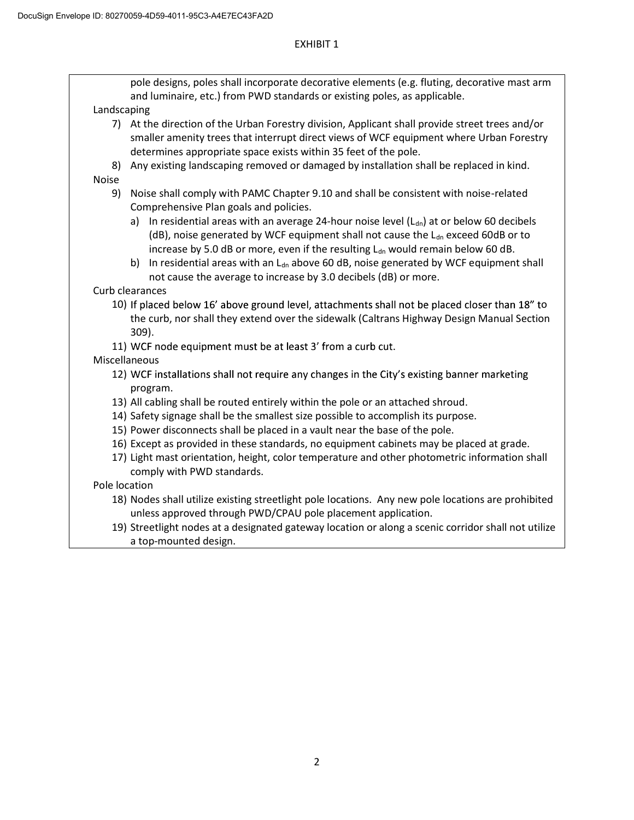$\mathsf{I}$ 

## EXHIBIT 1

| pole designs, poles shall incorporate decorative elements (e.g. fluting, decorative mast arm |                                                                                                     |  |  |  |  |
|----------------------------------------------------------------------------------------------|-----------------------------------------------------------------------------------------------------|--|--|--|--|
| and luminaire, etc.) from PWD standards or existing poles, as applicable.                    |                                                                                                     |  |  |  |  |
| Landscaping                                                                                  |                                                                                                     |  |  |  |  |
|                                                                                              | 7) At the direction of the Urban Forestry division, Applicant shall provide street trees and/or     |  |  |  |  |
|                                                                                              | smaller amenity trees that interrupt direct views of WCF equipment where Urban Forestry             |  |  |  |  |
|                                                                                              | determines appropriate space exists within 35 feet of the pole.                                     |  |  |  |  |
| 8)                                                                                           | Any existing landscaping removed or damaged by installation shall be replaced in kind.              |  |  |  |  |
| <b>Noise</b>                                                                                 |                                                                                                     |  |  |  |  |
| 9)                                                                                           | Noise shall comply with PAMC Chapter 9.10 and shall be consistent with noise-related                |  |  |  |  |
|                                                                                              | Comprehensive Plan goals and policies.                                                              |  |  |  |  |
|                                                                                              | a) In residential areas with an average 24-hour noise level $(L_{dn})$ at or below 60 decibels      |  |  |  |  |
|                                                                                              | (dB), noise generated by WCF equipment shall not cause the L <sub>dn</sub> exceed 60dB or to        |  |  |  |  |
|                                                                                              | increase by 5.0 dB or more, even if the resulting L <sub>dn</sub> would remain below 60 dB.         |  |  |  |  |
|                                                                                              | In residential areas with an $Ldn$ above 60 dB, noise generated by WCF equipment shall<br>b)        |  |  |  |  |
|                                                                                              | not cause the average to increase by 3.0 decibels (dB) or more.                                     |  |  |  |  |
|                                                                                              | Curb clearances                                                                                     |  |  |  |  |
|                                                                                              | 10) If placed below 16' above ground level, attachments shall not be placed closer than 18" to      |  |  |  |  |
|                                                                                              | the curb, nor shall they extend over the sidewalk (Caltrans Highway Design Manual Section           |  |  |  |  |
|                                                                                              | 309).                                                                                               |  |  |  |  |
|                                                                                              | 11) WCF node equipment must be at least 3' from a curb cut.                                         |  |  |  |  |
|                                                                                              | Miscellaneous                                                                                       |  |  |  |  |
|                                                                                              | 12) WCF installations shall not require any changes in the City's existing banner marketing         |  |  |  |  |
|                                                                                              | program.                                                                                            |  |  |  |  |
|                                                                                              | 13) All cabling shall be routed entirely within the pole or an attached shroud.                     |  |  |  |  |
|                                                                                              | 14) Safety signage shall be the smallest size possible to accomplish its purpose.                   |  |  |  |  |
|                                                                                              | 15) Power disconnects shall be placed in a vault near the base of the pole.                         |  |  |  |  |
|                                                                                              | 16) Except as provided in these standards, no equipment cabinets may be placed at grade.            |  |  |  |  |
|                                                                                              | 17) Light mast orientation, height, color temperature and other photometric information shall       |  |  |  |  |
|                                                                                              | comply with PWD standards.                                                                          |  |  |  |  |
| Pole location                                                                                |                                                                                                     |  |  |  |  |
|                                                                                              | 18) Nodes shall utilize existing streetlight pole locations. Any new pole locations are prohibited  |  |  |  |  |
|                                                                                              | unless approved through PWD/CPAU pole placement application.                                        |  |  |  |  |
|                                                                                              | 19) Streetlight nodes at a designated gateway location or along a scenic corridor shall not utilize |  |  |  |  |
|                                                                                              | a top-mounted design.                                                                               |  |  |  |  |
|                                                                                              |                                                                                                     |  |  |  |  |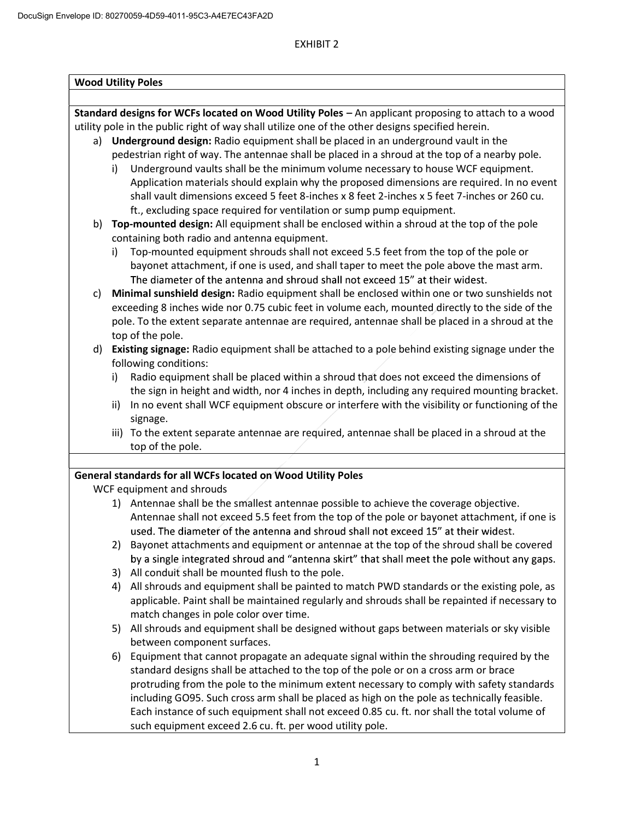# EXHIBIT 2

| <b>Wood Utility Poles</b> |                                                                                               |                                                                                                      |  |  |  |  |
|---------------------------|-----------------------------------------------------------------------------------------------|------------------------------------------------------------------------------------------------------|--|--|--|--|
|                           |                                                                                               |                                                                                                      |  |  |  |  |
|                           |                                                                                               |                                                                                                      |  |  |  |  |
|                           |                                                                                               | Standard designs for WCFs located on Wood Utility Poles - An applicant proposing to attach to a wood |  |  |  |  |
|                           |                                                                                               | utility pole in the public right of way shall utilize one of the other designs specified herein.     |  |  |  |  |
|                           |                                                                                               | a) Underground design: Radio equipment shall be placed in an underground vault in the                |  |  |  |  |
|                           |                                                                                               | pedestrian right of way. The antennae shall be placed in a shroud at the top of a nearby pole.       |  |  |  |  |
|                           | i)                                                                                            | Underground vaults shall be the minimum volume necessary to house WCF equipment.                     |  |  |  |  |
|                           |                                                                                               | Application materials should explain why the proposed dimensions are required. In no event           |  |  |  |  |
|                           |                                                                                               | shall vault dimensions exceed 5 feet 8-inches x 8 feet 2-inches x 5 feet 7-inches or 260 cu.         |  |  |  |  |
|                           |                                                                                               | ft., excluding space required for ventilation or sump pump equipment.                                |  |  |  |  |
|                           | b) Top-mounted design: All equipment shall be enclosed within a shroud at the top of the pole |                                                                                                      |  |  |  |  |
|                           |                                                                                               | containing both radio and antenna equipment.                                                         |  |  |  |  |
|                           | i)                                                                                            | Top-mounted equipment shrouds shall not exceed 5.5 feet from the top of the pole or                  |  |  |  |  |
|                           |                                                                                               | bayonet attachment, if one is used, and shall taper to meet the pole above the mast arm.             |  |  |  |  |
|                           |                                                                                               | The diameter of the antenna and shroud shall not exceed 15" at their widest.                         |  |  |  |  |
| c)                        | Minimal sunshield design: Radio equipment shall be enclosed within one or two sunshields not  |                                                                                                      |  |  |  |  |
|                           |                                                                                               | exceeding 8 inches wide nor 0.75 cubic feet in volume each, mounted directly to the side of the      |  |  |  |  |
|                           |                                                                                               | pole. To the extent separate antennae are required, antennae shall be placed in a shroud at the      |  |  |  |  |
|                           |                                                                                               | top of the pole.                                                                                     |  |  |  |  |
|                           |                                                                                               | d) Existing signage: Radio equipment shall be attached to a pole behind existing signage under the   |  |  |  |  |
|                           |                                                                                               | following conditions:                                                                                |  |  |  |  |
|                           | i)                                                                                            | Radio equipment shall be placed within a shroud that does not exceed the dimensions of               |  |  |  |  |
|                           |                                                                                               | the sign in height and width, nor 4 inches in depth, including any required mounting bracket.        |  |  |  |  |
|                           | ii)                                                                                           | In no event shall WCF equipment obscure or interfere with the visibility or functioning of the       |  |  |  |  |
|                           |                                                                                               | signage.                                                                                             |  |  |  |  |
|                           |                                                                                               | iii) To the extent separate antennae are required, antennae shall be placed in a shroud at the       |  |  |  |  |
|                           |                                                                                               | top of the pole.                                                                                     |  |  |  |  |
|                           |                                                                                               | General standards for all WCFs located on Wood Utility Poles                                         |  |  |  |  |
|                           |                                                                                               | WCF equipment and shrouds                                                                            |  |  |  |  |
|                           |                                                                                               | 1) Antennae shall be the smallest antennae possible to achieve the coverage objective.               |  |  |  |  |
|                           |                                                                                               | Antennae shall not exceed 5.5 feet from the top of the pole or bayonet attachment, if one is         |  |  |  |  |
|                           |                                                                                               | used. The diameter of the antenna and shroud shall not exceed 15" at their widest.                   |  |  |  |  |
|                           | 2)                                                                                            | Bayonet attachments and equipment or antennae at the top of the shroud shall be covered              |  |  |  |  |
|                           |                                                                                               | by a single integrated shroud and "antenna skirt" that shall meet the pole without any gaps.         |  |  |  |  |
|                           | 3)                                                                                            | All conduit shall be mounted flush to the pole.                                                      |  |  |  |  |
|                           | 4)                                                                                            | All shrouds and equipment shall be painted to match PWD standards or the existing pole, as           |  |  |  |  |
|                           |                                                                                               | applicable. Paint shall be maintained regularly and shrouds shall be repainted if necessary to       |  |  |  |  |
|                           |                                                                                               | match changes in pole color over time.                                                               |  |  |  |  |
|                           | 5)                                                                                            | All shrouds and equipment shall be designed without gaps between materials or sky visible            |  |  |  |  |
|                           |                                                                                               | between component surfaces.                                                                          |  |  |  |  |
|                           | 6)                                                                                            | Equipment that cannot propagate an adequate signal within the shrouding required by the              |  |  |  |  |
|                           |                                                                                               | standard designs shall be attached to the top of the pole or on a cross arm or brace                 |  |  |  |  |
|                           |                                                                                               | protruding from the pole to the minimum extent necessary to comply with safety standards             |  |  |  |  |
|                           |                                                                                               | including GO95. Such cross arm shall be placed as high on the pole as technically feasible.          |  |  |  |  |
|                           |                                                                                               | Each instance of such equipment shall not exceed 0.85 cu. ft. nor shall the total volume of          |  |  |  |  |
|                           |                                                                                               |                                                                                                      |  |  |  |  |
|                           |                                                                                               | such equipment exceed 2.6 cu. ft. per wood utility pole.                                             |  |  |  |  |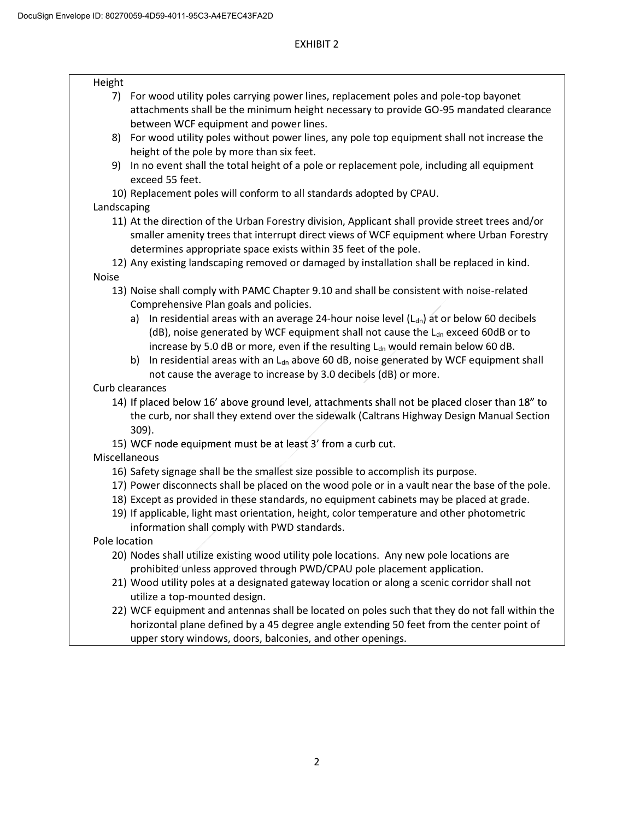## Height

- 7) For wood utility poles carrying power lines, replacement poles and pole-top bayonet attachments shall be the minimum height necessary to provide GO-95 mandated clearance between WCF equipment and power lines.
- 8) For wood utility poles without power lines, any pole top equipment shall not increase the height of the pole by more than six feet.
- 9) In no event shall the total height of a pole or replacement pole, including all equipment exceed 55 feet.
- 10) Replacement poles will conform to all standards adopted by CPAU.

# Landscaping

11) At the direction of the Urban Forestry division, Applicant shall provide street trees and/or smaller amenity trees that interrupt direct views of WCF equipment where Urban Forestry determines appropriate space exists within 35 feet of the pole.

12) Any existing landscaping removed or damaged by installation shall be replaced in kind. Noise

- 13) Noise shall comply with PAMC Chapter 9.10 and shall be consistent with noise-related Comprehensive Plan goals and policies.
	- a) In residential areas with an average 24-hour noise level  $(L<sub>dn</sub>)$  at or below 60 decibels (dB), noise generated by WCF equipment shall not cause the  $L_{dn}$  exceed 60dB or to increase by 5.0 dB or more, even if the resulting  $L<sub>dn</sub>$  would remain below 60 dB.
	- b) In residential areas with an  $L_{dn}$  above 60 dB, noise generated by WCF equipment shall not cause the average to increase by 3.0 decibels (dB) or more.

Curb clearances

- 14) If placed below 16' above ground level, attachments shall not be placed closer than 18" to the curb, nor shall they extend over the sidewalk (Caltrans Highway Design Manual Section 309).
- 15) WCF node equipment must be at least 3' from a curb cut.

Miscellaneous

- 16) Safety signage shall be the smallest size possible to accomplish its purpose.
- 17) Power disconnects shall be placed on the wood pole or in a vault near the base of the pole.
- 18) Except as provided in these standards, no equipment cabinets may be placed at grade.
- 19) If applicable, light mast orientation, height, color temperature and other photometric information shall comply with PWD standards.

Pole location

- 20) Nodes shall utilize existing wood utility pole locations. Any new pole locations are prohibited unless approved through PWD/CPAU pole placement application.
- 21) Wood utility poles at a designated gateway location or along a scenic corridor shall not utilize a top-mounted design.
- 22) WCF equipment and antennas shall be located on poles such that they do not fall within the horizontal plane defined by a 45 degree angle extending 50 feet from the center point of upper story windows, doors, balconies, and other openings.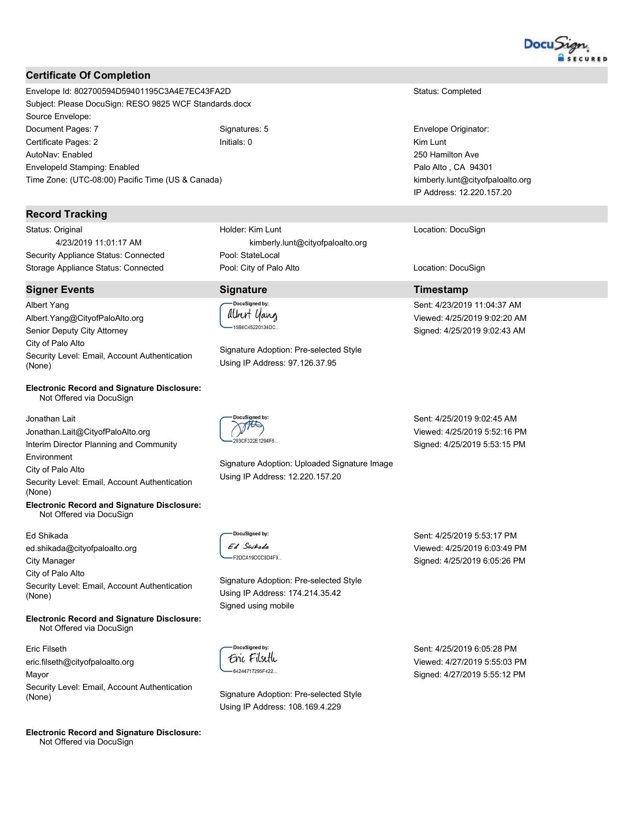

## **Certificate Of Completion**

Envelope Id: 802700594D59401195C3A4E7EC43FA2D Subject: Please DocuSign: RESO 9825 WCF Standards.docx Source Envelope: Document Pages: 7 Signatures: 5 Certificate Pages: 2 Initials: 0 AutoNav: Enabled Envelopeld Stamping: Enabled Time Zone: (UTC-08:00) Pacific Time (US & Canada)

### **Record Tracking**

Status: Original 4/23/2019 11:01:17 AM Security Appliance Status: Connected Storage Appliance Status: Connected

## **Signer Events**

Albert Yang Albert.Yang@CityofPaloAlto.org Senior Deputy City Attorney City of Palo Alto Security Level: Email, Account Authentication (None)

#### **Electronic Record and Signature Disclosure:** Not Offered via DocuSign

Jonathan Lait Jonathan.Lait@CityofPaloAlto.org Interim Director Planning and Community Environment City of Palo Alto Security Level: Email, Account Authentication (None) **Electronic Record and Signature Disclosure:** Not Offered via DocuSign

#### Ed Shikada

ed.shikada@cityofpaloalto.org **City Manager** City of Palo Alto Security Level: Email, Account Authentication (None)

#### **Electronic Record and Signature Disclosure:** Not Offered via DocuSign

Eric Filseth eric.filseth@cityofpaloalto.org Mayor Security Level: Email, Account Authentication (None)

**Electronic Record and Signature Disclosure:** Not Offered via DocuSign

Holder: Kim Lunt kimberly.lunt@cityofpaloalto.org Pool: StateLocal Pool: City of Palo Alto

## **Signature**

DocuSigned by: albert yang -<br>15B6C45220134DC...

Signature Adoption: Pre-selected Style Using IP Address: 97.126.37.95

THIS

Signature Adoption: Uploaded Signature Image Using IP Address: 12.220.157.20

Sent: 4/25/2019 9:02:45 AM Viewed: 4/25/2019 5:52:16 PM Signed: 4/25/2019 5:53:15 PM

Status: Completed

Envelope Originator:

Palo Alto, CA 94301

Location: DocuSign

Location: DocuSign

Sent: 4/23/2019 11:04:37 AM

Viewed: 4/25/2019 9:02:20 AM

Signed: 4/25/2019 9:02:43 AM

**Timestamp** 

kimberly.lunt@cityofpaloalto.org IP Address: 12.220.157.20

250 Hamilton Ave

Kim Lunt

DocuSigned by: Ed Swikada E2DCA19CCCRD4E9

Signature Adoption: Pre-selected Style Using IP Address: 174.214.35.42 Signed using mobile

DocuSianed by: Eric Filseth -64244717295F422...

Signature Adoption: Pre-selected Style Using IP Address: 108.169.4.229

Sent: 4/25/2019 5:53:17 PM Viewed: 4/25/2019 6:03:49 PM Signed: 4/25/2019 6:05:26 PM

Sent: 4/25/2019 6:05:28 PM Viewed: 4/27/2019 5:55:03 PM Signed: 4/27/2019 5:55:12 PM